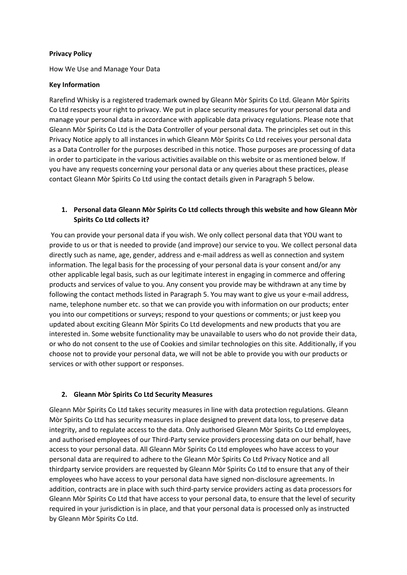#### **Privacy Policy**

How We Use and Manage Your Data

#### **Key Information**

Rarefind Whisky is a registered trademark owned by Gleann Mòr Spirits Co Ltd. Gleann Mòr Spirits Co Ltd respects your right to privacy. We put in place security measures for your personal data and manage your personal data in accordance with applicable data privacy regulations. Please note that Gleann Mòr Spirits Co Ltd is the Data Controller of your personal data. The principles set out in this Privacy Notice apply to all instances in which Gleann Mòr Spirits Co Ltd receives your personal data as a Data Controller for the purposes described in this notice. Those purposes are processing of data in order to participate in the various activities available on this website or as mentioned below. If you have any requests concerning your personal data or any queries about these practices, please contact Gleann Mòr Spirits Co Ltd using the contact details given in Paragraph 5 below.

### **1. Personal data Gleann Mòr Spirits Co Ltd collects through this website and how Gleann Mòr Spirits Co Ltd collects it?**

You can provide your personal data if you wish. We only collect personal data that YOU want to provide to us or that is needed to provide (and improve) our service to you. We collect personal data directly such as name, age, gender, address and e-mail address as well as connection and system information. The legal basis for the processing of your personal data is your consent and/or any other applicable legal basis, such as our legitimate interest in engaging in commerce and offering products and services of value to you. Any consent you provide may be withdrawn at any time by following the contact methods listed in Paragraph 5. You may want to give us your e-mail address, name, telephone number etc. so that we can provide you with information on our products; enter you into our competitions or surveys; respond to your questions or comments; or just keep you updated about exciting Gleann Mòr Spirits Co Ltd developments and new products that you are interested in. Some website functionality may be unavailable to users who do not provide their data, or who do not consent to the use of Cookies and similar technologies on this site. Additionally, if you choose not to provide your personal data, we will not be able to provide you with our products or services or with other support or responses.

### **2. Gleann Mòr Spirits Co Ltd Security Measures**

Gleann Mòr Spirits Co Ltd takes security measures in line with data protection regulations. Gleann Mòr Spirits Co Ltd has security measures in place designed to prevent data loss, to preserve data integrity, and to regulate access to the data. Only authorised Gleann Mòr Spirits Co Ltd employees, and authorised employees of our Third-Party service providers processing data on our behalf, have access to your personal data. All Gleann Mòr Spirits Co Ltd employees who have access to your personal data are required to adhere to the Gleann Mòr Spirits Co Ltd Privacy Notice and all thirdparty service providers are requested by Gleann Mòr Spirits Co Ltd to ensure that any of their employees who have access to your personal data have signed non-disclosure agreements. In addition, contracts are in place with such third-party service providers acting as data processors for Gleann Mòr Spirits Co Ltd that have access to your personal data, to ensure that the level of security required in your jurisdiction is in place, and that your personal data is processed only as instructed by Gleann Mòr Spirits Co Ltd.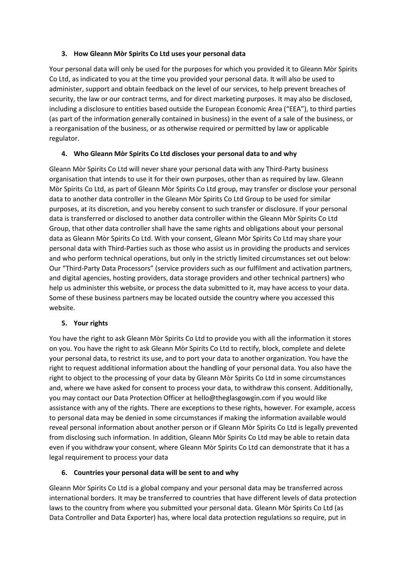### **3. How Gleann Mòr Spirits Co Ltd uses your personal data**

Your personal data will only be used for the purposes for which you provided it to Gleann Mòr Spirits Co Ltd, as indicated to you at the time you provided your personal data. It will also be used to administer, support and obtain feedback on the level of our services, to help prevent breaches of security, the law or our contract terms, and for direct marketing purposes. It may also be disclosed, including a disclosure to entities based outside the European Economic Area ("EEA"), to third parties (as part of the information generally contained in business) in the event of a sale of the business, or a reorganisation of the business, or as otherwise required or permitted by law or applicable regulator.

## **4. Who Gleann Mòr Spirits Co Ltd discloses your personal data to and why**

Gleann Mòr Spirits Co Ltd will never share your personal data with any Third-Party business organisation that intends to use it for their own purposes, other than as required by law. Gleann Mòr Spirits Co Ltd, as part of Gleann Mòr Spirits Co Ltd group, may transfer or disclose your personal data to another data controller in the Gleann Mòr Spirits Co Ltd Group to be used for similar purposes, at its discretion, and you hereby consent to such transfer or disclosure. If your personal data is transferred or disclosed to another data controller within the Gleann Mòr Spirits Co Ltd Group, that other data controller shall have the same rights and obligations about your personal data as Gleann Mòr Spirits Co Ltd. With your consent, Gleann Mòr Spirits Co Ltd may share your personal data with Third-Parties such as those who assist us in providing the products and services and who perform technical operations, but only in the strictly limited circumstances set out below: Our "Third-Party Data Processors" (service providers such as our fulfilment and activation partners, and digital agencies, hosting providers, data storage providers and other technical partners) who help us administer this website, or process the data submitted to it, may have access to your data. Some of these business partners may be located outside the country where you accessed this website.

## **5. Your rights**

You have the right to ask Gleann Mòr Spirits Co Ltd to provide you with all the information it stores on you. You have the right to ask Gleann Mòr Spirits Co Ltd to rectify, block, complete and delete your personal data, to restrict its use, and to port your data to another organization. You have the right to request additional information about the handling of your personal data. You also have the right to object to the processing of your data by Gleann Mòr Spirits Co Ltd in some circumstances and, where we have asked for consent to process your data, to withdraw this consent. Additionally, you may contact our Data Protection Officer at hello@theglasgowgin.com if you would like assistance with any of the rights. There are exceptions to these rights, however. For example, access to personal data may be denied in some circumstances if making the information available would reveal personal information about another person or if Gleann Mòr Spirits Co Ltd is legally prevented from disclosing such information. In addition, Gleann Mòr Spirits Co Ltd may be able to retain data even if you withdraw your consent, where Gleann Mòr Spirits Co Ltd can demonstrate that it has a legal requirement to process your data

## **6. Countries your personal data will be sent to and why**

Gleann Mòr Spirits Co Ltd is a global company and your personal data may be transferred across international borders. It may be transferred to countries that have different levels of data protection laws to the country from where you submitted your personal data. Gleann Mòr Spirits Co Ltd (as Data Controller and Data Exporter) has, where local data protection regulations so require, put in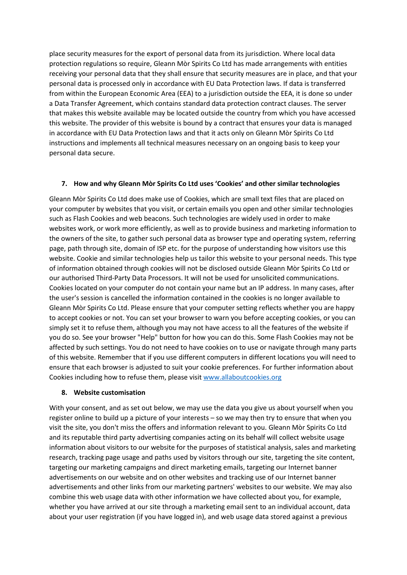place security measures for the export of personal data from its jurisdiction. Where local data protection regulations so require, Gleann Mòr Spirits Co Ltd has made arrangements with entities receiving your personal data that they shall ensure that security measures are in place, and that your personal data is processed only in accordance with EU Data Protection laws. If data is transferred from within the European Economic Area (EEA) to a jurisdiction outside the EEA, it is done so under a Data Transfer Agreement, which contains standard data protection contract clauses. The server that makes this website available may be located outside the country from which you have accessed this website. The provider of this website is bound by a contract that ensures your data is managed in accordance with EU Data Protection laws and that it acts only on Gleann Mòr Spirits Co Ltd instructions and implements all technical measures necessary on an ongoing basis to keep your personal data secure.

#### **7. How and why Gleann Mòr Spirits Co Ltd uses 'Cookies' and other similar technologies**

Gleann Mòr Spirits Co Ltd does make use of Cookies, which are small text files that are placed on your computer by websites that you visit, or certain emails you open and other similar technologies such as Flash Cookies and web beacons. Such technologies are widely used in order to make websites work, or work more efficiently, as well as to provide business and marketing information to the owners of the site, to gather such personal data as browser type and operating system, referring page, path through site, domain of ISP etc. for the purpose of understanding how visitors use this website. Cookie and similar technologies help us tailor this website to your personal needs. This type of information obtained through cookies will not be disclosed outside Gleann Mòr Spirits Co Ltd or our authorised Third-Party Data Processors. It will not be used for unsolicited communications. Cookies located on your computer do not contain your name but an IP address. In many cases, after the user's session is cancelled the information contained in the cookies is no longer available to Gleann Mòr Spirits Co Ltd. Please ensure that your computer setting reflects whether you are happy to accept cookies or not. You can set your browser to warn you before accepting cookies, or you can simply set it to refuse them, although you may not have access to all the features of the website if you do so. See your browser "Help" button for how you can do this. Some Flash Cookies may not be affected by such settings. You do not need to have cookies on to use or navigate through many parts of this website. Remember that if you use different computers in different locations you will need to ensure that each browser is adjusted to suit your cookie preferences. For further information about Cookies including how to refuse them, please visi[t www.allaboutcookies.org](http://www.allaboutcookies.org/)

#### **8. Website customisation**

With your consent, and as set out below, we may use the data you give us about yourself when you register online to build up a picture of your interests – so we may then try to ensure that when you visit the site, you don't miss the offers and information relevant to you. Gleann Mòr Spirits Co Ltd and its reputable third party advertising companies acting on its behalf will collect website usage information about visitors to our website for the purposes of statistical analysis, sales and marketing research, tracking page usage and paths used by visitors through our site, targeting the site content, targeting our marketing campaigns and direct marketing emails, targeting our Internet banner advertisements on our website and on other websites and tracking use of our Internet banner advertisements and other links from our marketing partners' websites to our website. We may also combine this web usage data with other information we have collected about you, for example, whether you have arrived at our site through a marketing email sent to an individual account, data about your user registration (if you have logged in), and web usage data stored against a previous